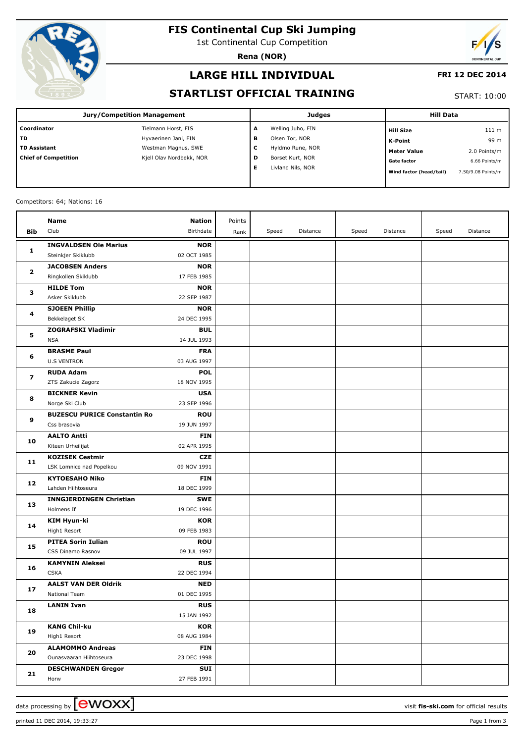

# **FIS Continental Cup Ski Jumping**

1st Continental Cup Competition

**Rena (NOR)**



### **LARGE HILL INDIVIDUAL**

#### **FRI 12 DEC 2014**

### **STARTLIST OFFICIAL TRAINING**

START: 10:00

| <b>Jury/Competition Management</b> |                          |   | <b>Judges</b>     |                         | <b>Hill Data</b>   |  |  |
|------------------------------------|--------------------------|---|-------------------|-------------------------|--------------------|--|--|
| Coordinator                        | Tielmann Horst, FIS      | A | Welling Juho, FIN | <b>Hill Size</b>        | 111 m              |  |  |
| <b>TD</b>                          | Hyvaerinen Jani, FIN     | в | Olsen Tor, NOR    | K-Point                 | 99 m               |  |  |
| <b>TD Assistant</b>                | Westman Magnus, SWE      | c | Hyldmo Rune, NOR  | <b>Meter Value</b>      | 2.0 Points/m       |  |  |
| <b>Chief of Competition</b>        | Kjell Olav Nordbekk, NOR | D | Borset Kurt, NOR  | <b>Gate factor</b>      | 6.66 Points/m      |  |  |
|                                    |                          | Е | Livland Nils, NOR | Wind factor (head/tail) | 7.50/9.08 Points/m |  |  |

#### Competitors: 64; Nations: 16

|                         | Name                                         | <b>Nation</b>             | Points |       |          |       |          |       |          |
|-------------------------|----------------------------------------------|---------------------------|--------|-------|----------|-------|----------|-------|----------|
| Bib                     | Club                                         | Birthdate                 | Rank   | Speed | Distance | Speed | Distance | Speed | Distance |
|                         | <b>INGVALDSEN Ole Marius</b>                 | <b>NOR</b>                |        |       |          |       |          |       |          |
| 1                       | Steinkjer Skiklubb                           | 02 OCT 1985               |        |       |          |       |          |       |          |
| 2<br>з                  | <b>JACOBSEN Anders</b>                       | <b>NOR</b>                |        |       |          |       |          |       |          |
|                         | Ringkollen Skiklubb                          | 17 FEB 1985               |        |       |          |       |          |       |          |
|                         | <b>HILDE Tom</b>                             | <b>NOR</b>                |        |       |          |       |          |       |          |
|                         | Asker Skiklubb                               | 22 SEP 1987               |        |       |          |       |          |       |          |
| 4                       | <b>SJOEEN Phillip</b>                        | <b>NOR</b>                |        |       |          |       |          |       |          |
|                         | Bekkelaget SK                                | 24 DEC 1995               |        |       |          |       |          |       |          |
|                         | <b>ZOGRAFSKI Vladimir</b>                    | <b>BUL</b>                |        |       |          |       |          |       |          |
| 5                       | <b>NSA</b>                                   | 14 JUL 1993               |        |       |          |       |          |       |          |
|                         | <b>BRASME Paul</b>                           | <b>FRA</b>                |        |       |          |       |          |       |          |
| 6                       | <b>U.S VENTRON</b>                           | 03 AUG 1997               |        |       |          |       |          |       |          |
|                         | <b>RUDA Adam</b>                             | <b>POL</b>                |        |       |          |       |          |       |          |
| $\overline{\mathbf{z}}$ | ZTS Zakucie Zagorz                           | 18 NOV 1995               |        |       |          |       |          |       |          |
|                         | <b>BICKNER Kevin</b>                         | <b>USA</b>                |        |       |          |       |          |       |          |
| 8                       | Norge Ski Club                               | 23 SEP 1996               |        |       |          |       |          |       |          |
| 9                       | <b>BUZESCU PURICE Constantin Ro</b>          | <b>ROU</b>                |        |       |          |       |          |       |          |
|                         | Css brasovia                                 | 19 JUN 1997               |        |       |          |       |          |       |          |
| 10                      | <b>AALTO Antti</b>                           | <b>FIN</b>                |        |       |          |       |          |       |          |
|                         | Kiteen Urheilijat                            | 02 APR 1995               |        |       |          |       |          |       |          |
| 11                      | <b>KOZISEK Cestmir</b>                       | <b>CZE</b>                |        |       |          |       |          |       |          |
|                         | LSK Lomnice nad Popelkou                     | 09 NOV 1991               |        |       |          |       |          |       |          |
| 12                      | <b>KYTOESAHO Niko</b>                        | <b>FIN</b>                |        |       |          |       |          |       |          |
|                         | Lahden Hiihtoseura                           | 18 DEC 1999               |        |       |          |       |          |       |          |
| 13                      | <b>INNGJERDINGEN Christian</b>               | <b>SWE</b>                |        |       |          |       |          |       |          |
|                         | Holmens If                                   | 19 DEC 1996               |        |       |          |       |          |       |          |
| 14                      | <b>KIM Hyun-ki</b>                           | <b>KOR</b>                |        |       |          |       |          |       |          |
|                         | High1 Resort                                 | 09 FEB 1983               |        |       |          |       |          |       |          |
| 15                      | <b>PITEA Sorin Iulian</b>                    | <b>ROU</b>                |        |       |          |       |          |       |          |
|                         | CSS Dinamo Rasnov                            | 09 JUL 1997               |        |       |          |       |          |       |          |
| 16                      | <b>KAMYNIN Aleksei</b>                       | <b>RUS</b>                |        |       |          |       |          |       |          |
|                         | <b>CSKA</b>                                  | 22 DEC 1994               |        |       |          |       |          |       |          |
| 17                      | <b>AALST VAN DER Oldrik</b><br>National Team | <b>NED</b><br>01 DEC 1995 |        |       |          |       |          |       |          |
|                         |                                              |                           |        |       |          |       |          |       |          |
| 18                      | <b>LANIN Ivan</b>                            | <b>RUS</b><br>15 JAN 1992 |        |       |          |       |          |       |          |
|                         |                                              |                           |        |       |          |       |          |       |          |
| 19                      | <b>KANG Chil-ku</b><br>High1 Resort          | <b>KOR</b><br>08 AUG 1984 |        |       |          |       |          |       |          |
|                         | <b>ALAMOMMO Andreas</b>                      |                           |        |       |          |       |          |       |          |
| 20                      | Ounasvaaran Hiihtoseura                      | <b>FIN</b><br>23 DEC 1998 |        |       |          |       |          |       |          |
|                         | <b>DESCHWANDEN Gregor</b>                    | SUI                       |        |       |          |       |          |       |          |
| 21                      | Horw                                         | 27 FEB 1991               |        |       |          |       |          |       |          |
|                         |                                              |                           |        |       |          |       |          |       |          |

data processing by **CWOXX**  $\blacksquare$ 

printed 11 DEC 2014, 19:33:27 Page 1 from 3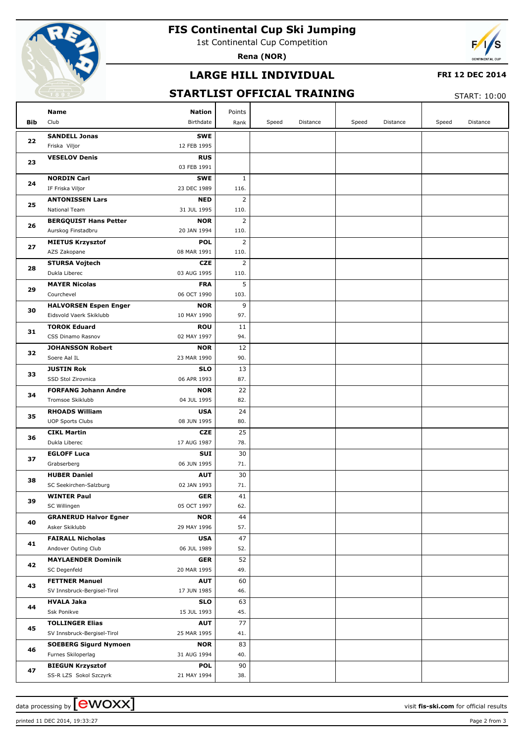

# **FIS Continental Cup Ski Jumping**

1st Continental Cup Competition

**Rena (NOR)**



### **LARGE HILL INDIVIDUAL**

#### **FRI 12 DEC 2014**

### **STARTLIST OFFICIAL TRAINING**

START: 10:00

| Bib | Name<br><b>Nation</b><br>Club<br>Birthdate                                           | Points<br>Rank | Speed<br>Distance | Speed<br>Distance | Speed | Distance |
|-----|--------------------------------------------------------------------------------------|----------------|-------------------|-------------------|-------|----------|
|     |                                                                                      |                |                   |                   |       |          |
| 22  | <b>SANDELL Jonas</b><br><b>SWE</b>                                                   |                |                   |                   |       |          |
|     | 12 FEB 1995<br>Friska Viljor                                                         |                |                   |                   |       |          |
| 23  | <b>VESELOV Denis</b><br><b>RUS</b><br>03 FEB 1991                                    |                |                   |                   |       |          |
|     | <b>NORDIN Carl</b><br><b>SWE</b>                                                     | $\mathbf{1}$   |                   |                   |       |          |
| 24  | IF Friska Viljor<br>23 DEC 1989                                                      | 116.           |                   |                   |       |          |
| 25  | <b>ANTONISSEN Lars</b><br><b>NED</b>                                                 | $\overline{2}$ |                   |                   |       |          |
|     | National Team<br>31 JUL 1995                                                         | 110.           |                   |                   |       |          |
| 26  | <b>BERGQUIST Hans Petter</b><br><b>NOR</b>                                           | $\overline{2}$ |                   |                   |       |          |
|     | Aurskog Finstadbru<br>20 JAN 1994                                                    | 110.           |                   |                   |       |          |
| 27  | <b>POL</b><br><b>MIETUS Krzysztof</b>                                                | $\overline{2}$ |                   |                   |       |          |
|     | AZS Zakopane<br>08 MAR 1991                                                          | 110.           |                   |                   |       |          |
| 28  | <b>STURSA Vojtech</b><br><b>CZE</b>                                                  | $\overline{2}$ |                   |                   |       |          |
|     | 03 AUG 1995<br>Dukla Liberec                                                         | 110.           |                   |                   |       |          |
| 29  | <b>MAYER Nicolas</b><br><b>FRA</b>                                                   | 5              |                   |                   |       |          |
|     | 06 OCT 1990<br>Courchevel                                                            | 103.           |                   |                   |       |          |
| 30  | <b>HALVORSEN Espen Enger</b><br><b>NOR</b><br>Eidsvold Vaerk Skiklubb<br>10 MAY 1990 | 9<br>97.       |                   |                   |       |          |
|     | <b>TOROK Eduard</b><br><b>ROU</b>                                                    | 11             |                   |                   |       |          |
| 31  | CSS Dinamo Rasnov<br>02 MAY 1997                                                     | 94.            |                   |                   |       |          |
|     | <b>JOHANSSON Robert</b><br><b>NOR</b>                                                | 12             |                   |                   |       |          |
| 32  | Soere Aal IL<br>23 MAR 1990                                                          | 90.            |                   |                   |       |          |
|     | <b>JUSTIN Rok</b><br><b>SLO</b>                                                      | 13             |                   |                   |       |          |
| 33  | 06 APR 1993<br>SSD Stol Zirovnica                                                    | 87.            |                   |                   |       |          |
|     | <b>FORFANG Johann Andre</b><br><b>NOR</b>                                            | 22             |                   |                   |       |          |
| 34  | Tromsoe Skiklubb<br>04 JUL 1995                                                      | 82.            |                   |                   |       |          |
|     | <b>RHOADS William</b><br><b>USA</b>                                                  | 24             |                   |                   |       |          |
| 35  | <b>UOP Sports Clubs</b><br>08 JUN 1995                                               | 80.            |                   |                   |       |          |
| 36  | <b>CIKL Martin</b><br><b>CZE</b>                                                     | 25             |                   |                   |       |          |
|     | 17 AUG 1987<br>Dukla Liberec                                                         | 78.            |                   |                   |       |          |
| 37  | <b>EGLOFF Luca</b><br>SUI                                                            | 30             |                   |                   |       |          |
|     | Grabserberg<br>06 JUN 1995                                                           | 71.            |                   |                   |       |          |
| 38  | <b>HUBER Daniel</b><br><b>AUT</b>                                                    | 30             |                   |                   |       |          |
|     | SC Seekirchen-Salzburg<br>02 JAN 1993                                                | 71.            |                   |                   |       |          |
| 39  | <b>GER</b><br><b>WINTER Paul</b>                                                     | $41\,$         |                   |                   |       |          |
|     | SC Willingen<br>05 OCT 1997                                                          | 62.            |                   |                   |       |          |
| 40  | <b>GRANERUD Halvor Egner</b><br><b>NOR</b>                                           | 44             |                   |                   |       |          |
|     | Asker Skiklubb<br>29 MAY 1996<br><b>FAIRALL Nicholas</b><br><b>USA</b>               | 57.<br>47      |                   |                   |       |          |
| 41  | Andover Outing Club<br>06 JUL 1989                                                   | 52.            |                   |                   |       |          |
|     | <b>MAYLAENDER Dominik</b><br><b>GER</b>                                              | 52             |                   |                   |       |          |
| 42  | SC Degenfeld<br>20 MAR 1995                                                          | 49.            |                   |                   |       |          |
|     | <b>FETTNER Manuel</b><br><b>AUT</b>                                                  | 60             |                   |                   |       |          |
| 43  | SV Innsbruck-Bergisel-Tirol<br>17 JUN 1985                                           | 46.            |                   |                   |       |          |
|     | <b>SLO</b><br>HVALA Jaka                                                             | 63             |                   |                   |       |          |
| 44  | Ssk Ponikve<br>15 JUL 1993                                                           | 45.            |                   |                   |       |          |
|     | <b>TOLLINGER Elias</b><br><b>AUT</b>                                                 | 77             |                   |                   |       |          |
| 45  | SV Innsbruck-Bergisel-Tirol<br>25 MAR 1995                                           | 41.            |                   |                   |       |          |
|     | <b>SOEBERG Sigurd Nymoen</b><br><b>NOR</b>                                           | 83             |                   |                   |       |          |
| 46  | 31 AUG 1994<br>Furnes Skiloperlag                                                    | 40.            |                   |                   |       |          |
| 47  | <b>BIEGUN Krzysztof</b><br><b>POL</b>                                                | 90             |                   |                   |       |          |
|     | SS-R LZS Sokol Szczyrk<br>21 MAY 1994                                                | 38.            |                   |                   |       |          |

printed 11 DEC 2014, 19:33:27 Page 2 from 3